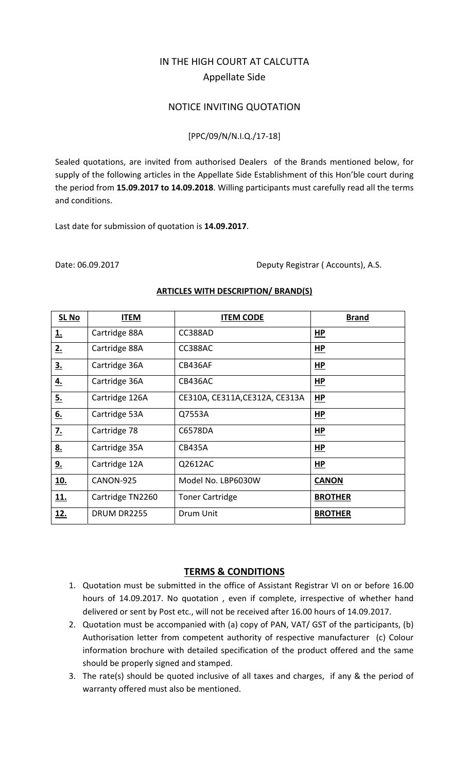# IN THE HIGH COURT AT CALCUTTA Appellate Side

# NOTICE INVITING QUOTATION

### [PPC/09/N/N.I.Q./17‐18]

Sealed quotations, are invited from authorised Dealers of the Brands mentioned below, for supply of the following articles in the Appellate Side Establishment of this Hon'ble court during the period from **15.09.2017 to 14.09.2018**. Willing participants must carefully read all the terms and conditions.

Last date for submission of quotation is **14.09.2017**.

Date: 06.09.2017 Deputy Registrar ( Accounts), A.S.

| <b>SL No</b> | <b>ITEM</b>      | <b>ITEM CODE</b>               | <b>Brand</b>   |
|--------------|------------------|--------------------------------|----------------|
| <u>1.</u>    | Cartridge 88A    | CC388AD                        | <u>HP</u>      |
| 2.           | Cartridge 88A    | <b>CC388AC</b>                 | HP             |
| 3.           | Cartridge 36A    | CB436AF                        | HP             |
| 4.           | Cartridge 36A    | CB436AC                        | HP             |
| 5.           | Cartridge 126A   | CE310A, CE311A, CE312A, CE313A | <b>HP</b>      |
| 6.           | Cartridge 53A    | Q7553A                         | HP             |
| <u>7.</u>    | Cartridge 78     | C6578DA                        | HP             |
| <u>8.</u>    | Cartridge 35A    | <b>CB435A</b>                  | HP             |
| 9.           | Cartridge 12A    | Q2612AC                        | <b>HP</b>      |
| <u>10.</u>   | CANON-925        | Model No. LBP6030W             | <b>CANON</b>   |
| 11.          | Cartridge TN2260 | <b>Toner Cartridge</b>         | <b>BROTHER</b> |
| 12.          | DRUM DR2255      | Drum Unit                      | <b>BROTHER</b> |

#### **ARTICLES WITH DESCRIPTION/ BRAND(S)**

# **TERMS & CONDITIONS**

- 1. Quotation must be submitted in the office of Assistant Registrar VI on or before 16.00 hours of 14.09.2017. No quotation , even if complete, irrespective of whether hand delivered or sent by Post etc., will not be received after 16.00 hours of 14.09.2017.
- 2. Quotation must be accompanied with (a) copy of PAN, VAT/ GST of the participants, (b) Authorisation letter from competent authority of respective manufacturer (c) Colour information brochure with detailed specification of the product offered and the same should be properly signed and stamped.
- 3. The rate(s) should be quoted inclusive of all taxes and charges, if any & the period of warranty offered must also be mentioned.